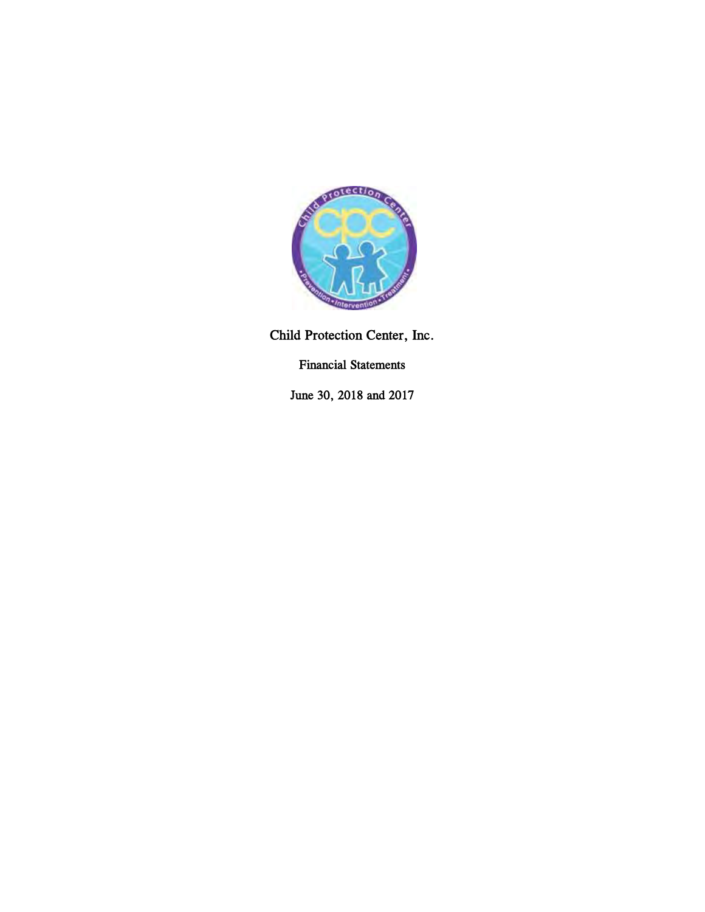

Child Protection Center, Inc.

Financial Statements

June 30, 2018 and 2017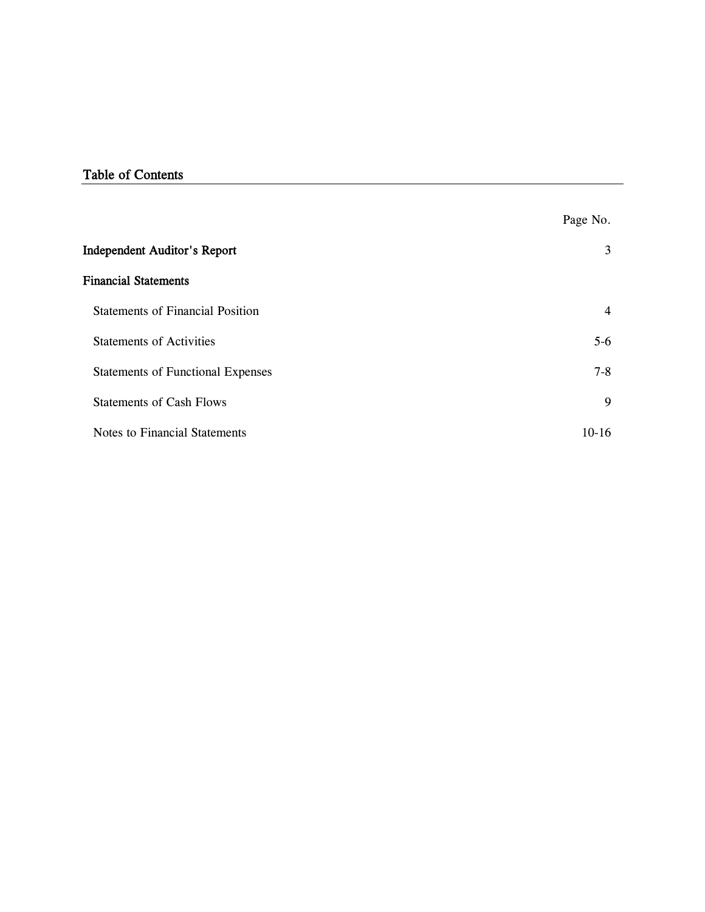# Table of Contents

|                                          | Page No.       |
|------------------------------------------|----------------|
| <b>Independent Auditor's Report</b>      | 3              |
| <b>Financial Statements</b>              |                |
| <b>Statements of Financial Position</b>  | $\overline{4}$ |
| <b>Statements of Activities</b>          | $5-6$          |
| <b>Statements of Functional Expenses</b> | $7 - 8$        |
| <b>Statements of Cash Flows</b>          | 9              |
| <b>Notes to Financial Statements</b>     | $10-16$        |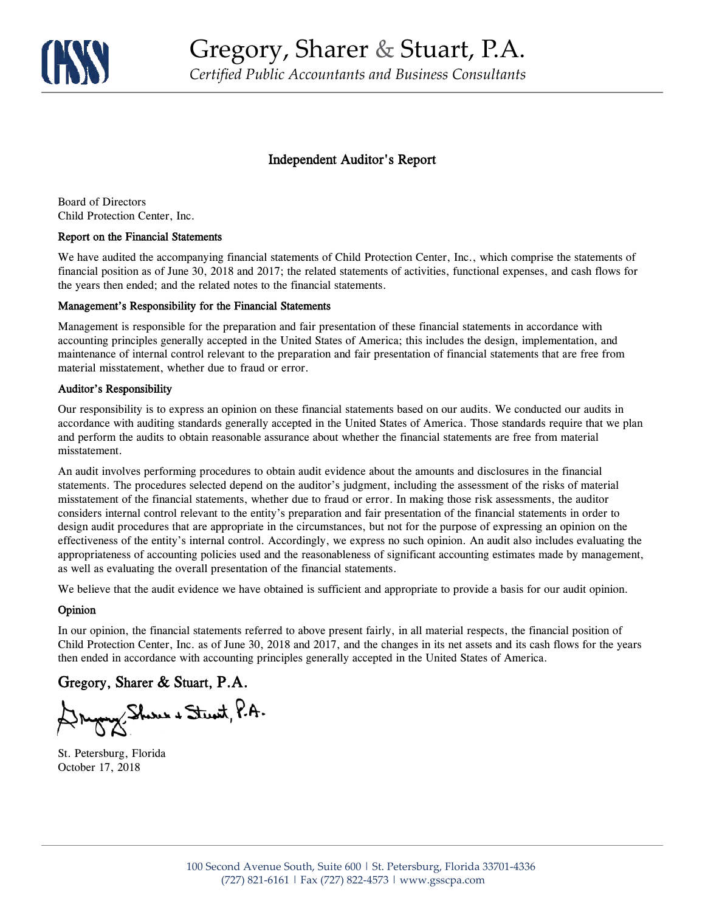

## Independent Auditor's Report

Board of Directors Child Protection Center, Inc.

#### Report on the Financial Statements

We have audited the accompanying financial statements of Child Protection Center, Inc., which comprise the statements of financial position as of June 30, 2018 and 2017; the related statements of activities, functional expenses, and cash flows for the years then ended; and the related notes to the financial statements.

#### Management's Responsibility for the Financial Statements

Management is responsible for the preparation and fair presentation of these financial statements in accordance with accounting principles generally accepted in the United States of America; this includes the design, implementation, and maintenance of internal control relevant to the preparation and fair presentation of financial statements that are free from material misstatement, whether due to fraud or error.

#### Auditor's Responsibility

Our responsibility is to express an opinion on these financial statements based on our audits. We conducted our audits in accordance with auditing standards generally accepted in the United States of America. Those standards require that we plan and perform the audits to obtain reasonable assurance about whether the financial statements are free from material misstatement.

An audit involves performing procedures to obtain audit evidence about the amounts and disclosures in the financial statements. The procedures selected depend on the auditor's judgment, including the assessment of the risks of material misstatement of the financial statements, whether due to fraud or error. In making those risk assessments, the auditor considers internal control relevant to the entity's preparation and fair presentation of the financial statements in order to design audit procedures that are appropriate in the circumstances, but not for the purpose of expressing an opinion on the effectiveness of the entity's internal control. Accordingly, we express no such opinion. An audit also includes evaluating the appropriateness of accounting policies used and the reasonableness of significant accounting estimates made by management, as well as evaluating the overall presentation of the financial statements.

We believe that the audit evidence we have obtained is sufficient and appropriate to provide a basis for our audit opinion.

#### Opinion

In our opinion, the financial statements referred to above present fairly, in all material respects, the financial position of Child Protection Center, Inc. as of June 30, 2018 and 2017, and the changes in its net assets and its cash flows for the years then ended in accordance with accounting principles generally accepted in the United States of America.

## Gregory, Sharer & Stuart, P.A.

Drygy Shows + Stunt, P.A.

St. Petersburg, Florida October 17, 2018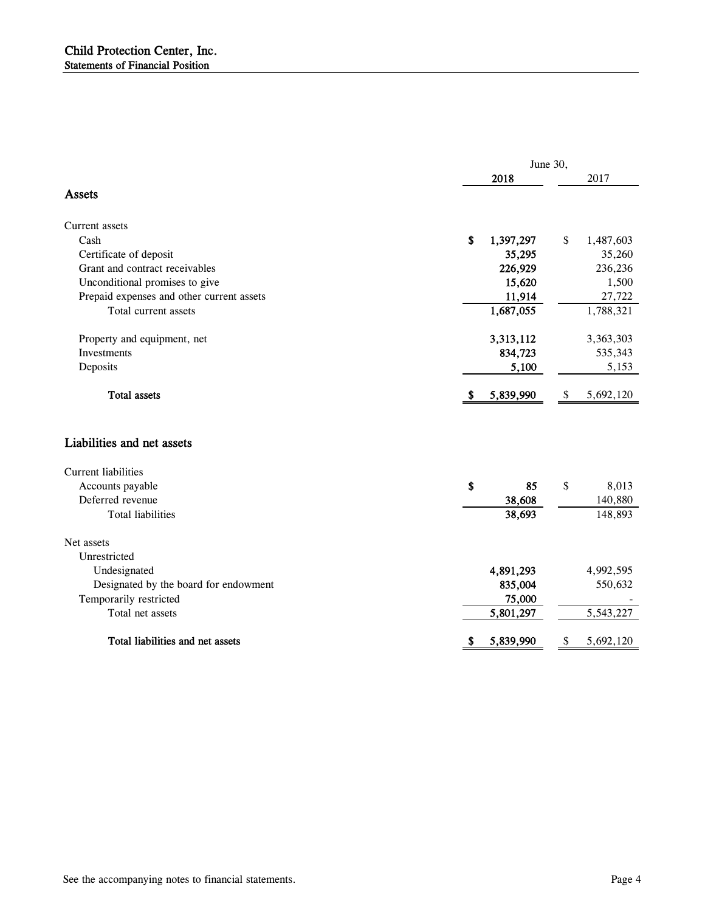|    | 2018      |                      | 2017      |  |  |
|----|-----------|----------------------|-----------|--|--|
|    |           |                      |           |  |  |
|    |           |                      |           |  |  |
| \$ | 1,397,297 | \$                   | 1,487,603 |  |  |
|    | 35,295    |                      | 35,260    |  |  |
|    | 226,929   |                      | 236,236   |  |  |
|    | 15,620    |                      | 1,500     |  |  |
|    | 11,914    |                      | 27,722    |  |  |
|    | 1,687,055 |                      | 1,788,321 |  |  |
|    | 3,313,112 |                      | 3,363,303 |  |  |
|    | 834,723   |                      | 535,343   |  |  |
|    | 5,100     |                      | 5,153     |  |  |
| \$ | 5,839,990 | \$                   | 5,692,120 |  |  |
|    |           |                      |           |  |  |
|    |           |                      |           |  |  |
| \$ | 85        | \$                   | 8,013     |  |  |
|    | 38,608    |                      | 140,880   |  |  |
|    | 38,693    |                      | 148,893   |  |  |
|    |           |                      |           |  |  |
|    |           |                      |           |  |  |
|    | 4,891,293 |                      | 4,992,595 |  |  |
|    |           |                      | 550,632   |  |  |
|    | 75,000    |                      |           |  |  |
|    |           |                      | 5,543,227 |  |  |
|    |           |                      |           |  |  |
|    |           | 835,004<br>5,801,297 | June 30,  |  |  |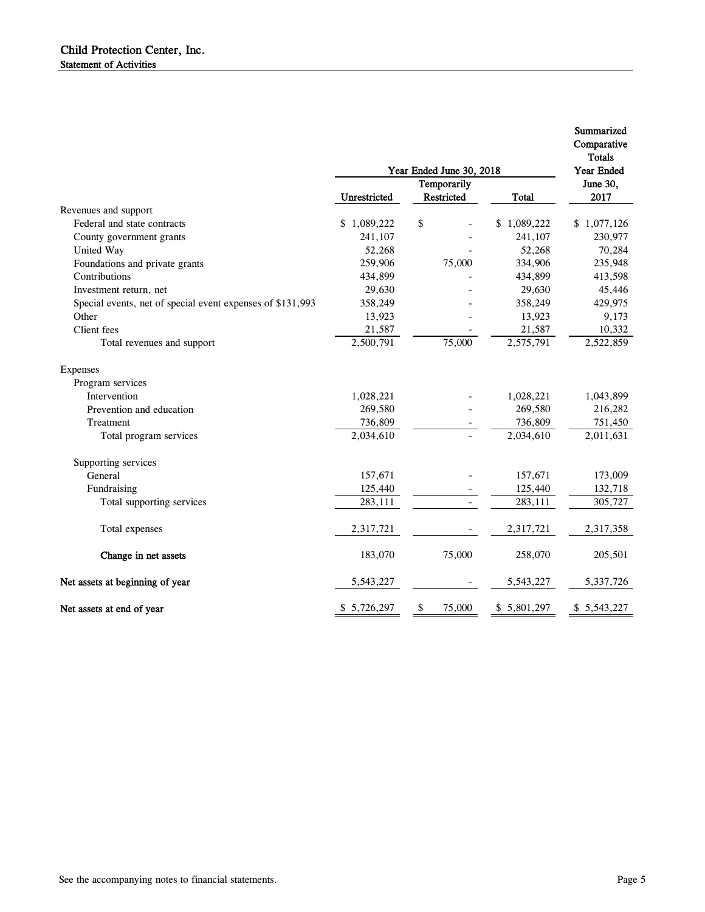|                                                            |              | Year Ended June 30, 2018 |              | Summarized<br>Comparative<br><b>Totals</b><br>Year Ended |
|------------------------------------------------------------|--------------|--------------------------|--------------|----------------------------------------------------------|
|                                                            |              | Temporarily              |              | June 30,                                                 |
|                                                            | Unrestricted | <b>Restricted</b>        | <b>Total</b> | 2017                                                     |
| Revenues and support                                       |              |                          |              |                                                          |
| Federal and state contracts                                | \$1,089,222  | \$                       | \$1,089,222  | \$1,077,126                                              |
| County government grants                                   | 241,107      |                          | 241,107      | 230,977                                                  |
| United Way                                                 | 52,268       |                          | 52,268       | 70,284                                                   |
| Foundations and private grants                             | 259,906      | 75,000                   | 334,906      | 235,948                                                  |
| Contributions                                              | 434,899      |                          | 434,899      | 413,598                                                  |
| Investment return, net                                     | 29,630       |                          | 29,630       | 45,446                                                   |
| Special events, net of special event expenses of \$131,993 | 358,249      |                          | 358,249      | 429,975                                                  |
| Other                                                      | 13,923       |                          | 13,923       | 9,173                                                    |
| Client fees                                                | 21,587       |                          | 21,587       | 10,332                                                   |
| Total revenues and support                                 | 2,500,791    | 75,000                   | 2,575,791    | 2,522,859                                                |
| <b>Expenses</b>                                            |              |                          |              |                                                          |
| Program services                                           |              |                          |              |                                                          |
| Intervention                                               | 1,028,221    |                          | 1,028,221    | 1,043,899                                                |
| Prevention and education                                   | 269,580      |                          | 269,580      | 216,282                                                  |
| Treatment                                                  | 736,809      |                          | 736,809      | 751,450                                                  |
| Total program services                                     | 2,034,610    |                          | 2,034,610    | 2,011,631                                                |
| Supporting services                                        |              |                          |              |                                                          |
| General                                                    | 157,671      |                          | 157,671      | 173,009                                                  |
| Fundraising                                                | 125,440      |                          | 125,440      | 132,718                                                  |
| Total supporting services                                  | 283,111      |                          | 283,111      | 305,727                                                  |
| Total expenses                                             | 2,317,721    |                          | 2,317,721    | 2,317,358                                                |
| Change in net assets                                       | 183,070      | 75,000                   | 258,070      | 205,501                                                  |
| Net assets at beginning of year                            | 5,543,227    |                          | 5,543,227    | 5,337,726                                                |
| Net assets at end of year                                  | \$5,726,297  | 75,000<br>S              | \$5,801,297  | \$5,543,227                                              |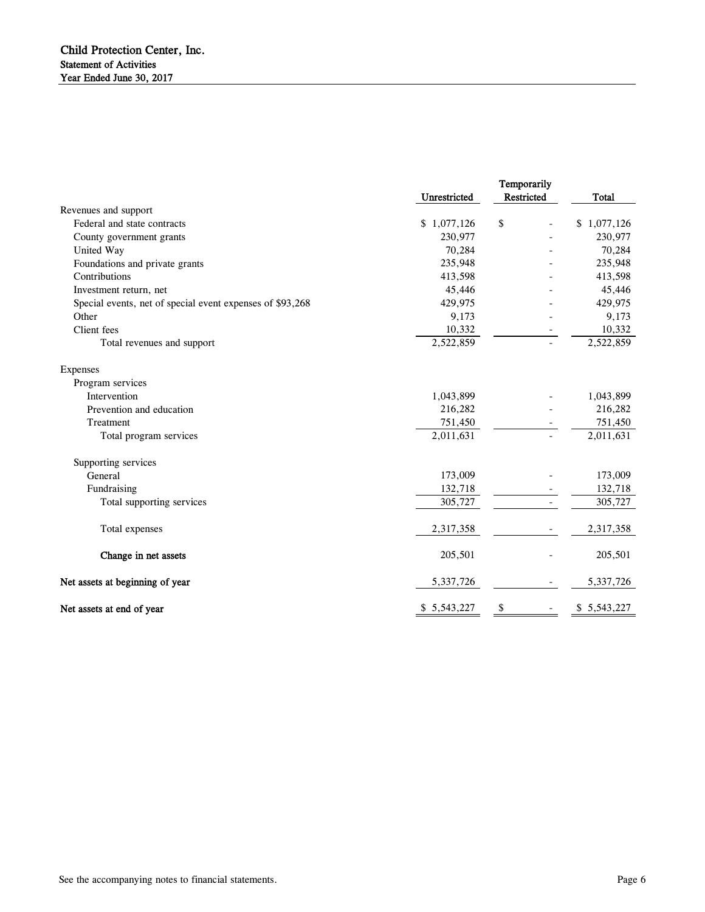|                                                           |              | Temporarily       |              |  |
|-----------------------------------------------------------|--------------|-------------------|--------------|--|
|                                                           | Unrestricted | <b>Restricted</b> | Total        |  |
| Revenues and support                                      |              |                   |              |  |
| Federal and state contracts                               | \$1,077,126  | \$                | \$1,077,126  |  |
| County government grants                                  | 230,977      |                   | 230,977      |  |
| United Way                                                | 70,284       |                   | 70,284       |  |
| Foundations and private grants                            | 235,948      |                   | 235,948      |  |
| Contributions                                             | 413,598      |                   | 413,598      |  |
| Investment return, net                                    | 45,446       |                   | 45,446       |  |
| Special events, net of special event expenses of \$93,268 | 429,975      |                   | 429,975      |  |
| Other                                                     | 9,173        |                   | 9,173        |  |
| Client fees                                               | 10,332       |                   | 10,332       |  |
| Total revenues and support                                | 2,522,859    |                   | 2,522,859    |  |
| <b>Expenses</b>                                           |              |                   |              |  |
| Program services                                          |              |                   |              |  |
| Intervention                                              | 1,043,899    |                   | 1,043,899    |  |
| Prevention and education                                  | 216,282      |                   | 216,282      |  |
| Treatment                                                 | 751,450      |                   | 751,450      |  |
| Total program services                                    | 2,011,631    |                   | 2,011,631    |  |
| Supporting services                                       |              |                   |              |  |
| General                                                   | 173,009      |                   | 173,009      |  |
| Fundraising                                               | 132,718      |                   | 132,718      |  |
| Total supporting services                                 | 305,727      |                   | 305,727      |  |
| Total expenses                                            | 2,317,358    |                   | 2,317,358    |  |
| Change in net assets                                      | 205,501      |                   | 205,501      |  |
| Net assets at beginning of year                           | 5,337,726    |                   | 5,337,726    |  |
| Net assets at end of year                                 | \$5,543,227  | \$                | \$ 5,543,227 |  |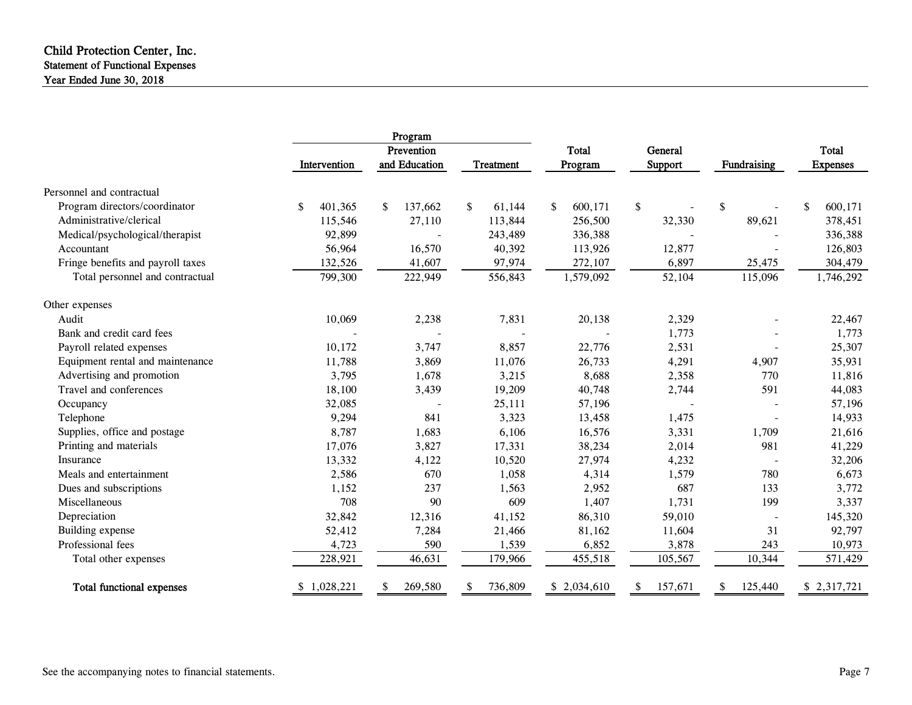#### Child Protection Center, Inc. Statement of Functional Expenses Year Ended June 30, 2018

|                                   | Program       |               |                         |               |                |                |                 |
|-----------------------------------|---------------|---------------|-------------------------|---------------|----------------|----------------|-----------------|
|                                   |               | Prevention    |                         | <b>Total</b>  | <b>General</b> |                |                 |
|                                   | Intervention  | and Education | Treatment               | Program       | Support        | Fundraising    | <b>Expenses</b> |
| Personnel and contractual         |               |               |                         |               |                |                |                 |
| Program directors/coordinator     | \$<br>401,365 | 137,662<br>\$ | <sup>\$</sup><br>61,144 | 600,171<br>\$ | \$             | \$             | 600,171<br>\$   |
| Administrative/clerical           | 115,546       | 27,110        | 113,844                 | 256,500       | 32,330         | 89,621         | 378,451         |
| Medical/psychological/therapist   | 92,899        |               | 243,489                 | 336,388       |                |                | 336,388         |
| Accountant                        | 56,964        | 16,570        | 40,392                  | 113,926       | 12,877         |                | 126,803         |
| Fringe benefits and payroll taxes | 132,526       | 41,607        | 97,974                  | 272,107       | 6,897          | 25,475         | 304,479         |
| Total personnel and contractual   | 799,300       | 222,949       | 556,843                 | 1,579,092     | 52,104         | 115,096        | 1,746,292       |
| Other expenses                    |               |               |                         |               |                |                |                 |
| Audit                             | 10,069        | 2,238         | 7,831                   | 20,138        | 2,329          |                | 22,467          |
| Bank and credit card fees         |               |               |                         |               | 1,773          |                | 1,773           |
| Payroll related expenses          | 10,172        | 3,747         | 8,857                   | 22,776        | 2,531          |                | 25,307          |
| Equipment rental and maintenance  | 11,788        | 3,869         | 11,076                  | 26,733        | 4,291          | 4,907          | 35,931          |
| Advertising and promotion         | 3,795         | 1,678         | 3,215                   | 8,688         | 2,358          | 770            | 11,816          |
| Travel and conferences            | 18,100        | 3,439         | 19,209                  | 40,748        | 2,744          | 591            | 44,083          |
| Occupancy                         | 32,085        |               | 25,111                  | 57,196        |                | $\blacksquare$ | 57,196          |
| Telephone                         | 9,294         | 841           | 3,323                   | 13,458        | 1,475          |                | 14,933          |
| Supplies, office and postage      | 8,787         | 1,683         | 6,106                   | 16,576        | 3,331          | 1,709          | 21,616          |
| Printing and materials            | 17,076        | 3,827         | 17,331                  | 38,234        | 2,014          | 981            | 41,229          |
| Insurance                         | 13,332        | 4,122         | 10,520                  | 27,974        | 4,232          |                | 32,206          |
| Meals and entertainment           | 2,586         | 670           | 1,058                   | 4,314         | 1,579          | 780            | 6,673           |
| Dues and subscriptions            | 1,152         | 237           | 1,563                   | 2,952         | 687            | 133            | 3,772           |
| Miscellaneous                     | 708           | 90            | 609                     | 1,407         | 1,731          | 199            | 3,337           |
| Depreciation                      | 32,842        | 12,316        | 41,152                  | 86,310        | 59,010         | $\blacksquare$ | 145,320         |
| Building expense                  | 52,412        | 7,284         | 21,466                  | 81,162        | 11,604         | 31             | 92,797          |
| Professional fees                 | 4,723         | 590           | 1,539                   | 6,852         | 3,878          | 243            | 10,973          |
| Total other expenses              | 228,921       | 46,631        | 179,966                 | 455,518       | 105,567        | 10,344         | 571,429         |
| <b>Total functional expenses</b>  | 1,028,221     | 269,580       | 736,809                 | \$2,034,610   | 157,671        | 125,440        | \$2,317,721     |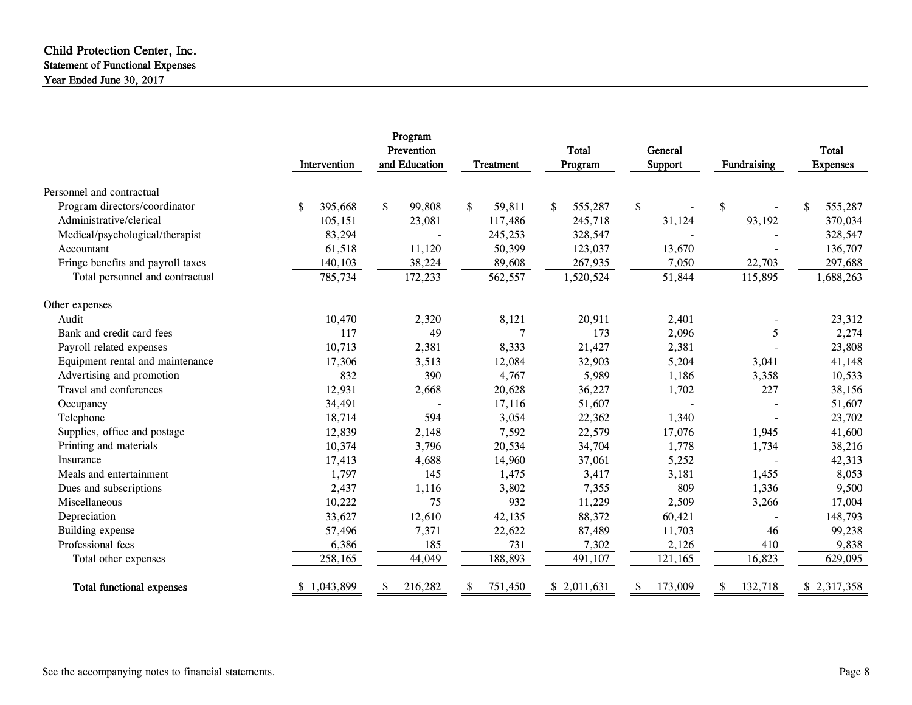#### Child Protection Center, Inc. Statement of Functional Expenses Year Ended June 30, 2017

|                                   |                          | Program       |                  |               |         |                          |                 |  |
|-----------------------------------|--------------------------|---------------|------------------|---------------|---------|--------------------------|-----------------|--|
|                                   |                          | Prevention    |                  | Total         |         |                          | <b>Total</b>    |  |
|                                   | Intervention             | and Education | <b>Treatment</b> | Program       | Support | Fundraising              | <b>Expenses</b> |  |
| Personnel and contractual         |                          |               |                  |               |         |                          |                 |  |
| Program directors/coordinator     | 395,668<br><sup>\$</sup> | 99,808<br>\$  | \$<br>59,811     | \$<br>555,287 | \$      | \$                       | 555,287<br>\$   |  |
| Administrative/clerical           | 105,151                  | 23,081        | 117,486          | 245,718       | 31,124  | 93,192                   | 370,034         |  |
| Medical/psychological/therapist   | 83,294                   |               | 245,253          | 328,547       |         |                          | 328,547         |  |
| Accountant                        | 61,518                   | 11,120        | 50,399           | 123,037       | 13,670  |                          | 136,707         |  |
| Fringe benefits and payroll taxes | 140,103                  | 38,224        | 89,608           | 267,935       | 7,050   | 22,703                   | 297,688         |  |
| Total personnel and contractual   | 785,734                  | 172,233       | 562,557          | 1,520,524     | 51,844  | 115,895                  | 1,688,263       |  |
| Other expenses                    |                          |               |                  |               |         |                          |                 |  |
| Audit                             | 10,470                   | 2,320         | 8,121            | 20,911        | 2,401   |                          | 23,312          |  |
| Bank and credit card fees         | 117                      | 49            | 7                | 173           | 2,096   | 5                        | 2,274           |  |
| Payroll related expenses          | 10,713                   | 2,381         | 8,333            | 21,427        | 2,381   |                          | 23,808          |  |
| Equipment rental and maintenance  | 17,306                   | 3,513         | 12,084           | 32,903        | 5,204   | 3,041                    | 41,148          |  |
| Advertising and promotion         | 832                      | 390           | 4,767            | 5,989         | 1,186   | 3,358                    | 10,533          |  |
| Travel and conferences            | 12,931                   | 2,668         | 20,628           | 36,227        | 1,702   | 227                      | 38,156          |  |
| Occupancy                         | 34,491                   |               | 17,116           | 51,607        |         | $\overline{\phantom{a}}$ | 51,607          |  |
| Telephone                         | 18,714                   | 594           | 3,054            | 22,362        | 1,340   |                          | 23,702          |  |
| Supplies, office and postage      | 12,839                   | 2,148         | 7,592            | 22,579        | 17,076  | 1,945                    | 41,600          |  |
| Printing and materials            | 10,374                   | 3,796         | 20,534           | 34,704        | 1,778   | 1,734                    | 38,216          |  |
| Insurance                         | 17,413                   | 4,688         | 14,960           | 37,061        | 5,252   |                          | 42,313          |  |
| Meals and entertainment           | 1,797                    | 145           | 1,475            | 3,417         | 3,181   | 1,455                    | 8,053           |  |
| Dues and subscriptions            | 2,437                    | 1,116         | 3,802            | 7,355         | 809     | 1,336                    | 9,500           |  |
| Miscellaneous                     | 10,222                   | 75            | 932              | 11,229        | 2,509   | 3,266                    | 17,004          |  |
| Depreciation                      | 33,627                   | 12,610        | 42,135           | 88,372        | 60,421  |                          | 148,793         |  |
| Building expense                  | 57,496                   | 7,371         | 22,622           | 87,489        | 11,703  | 46                       | 99,238          |  |
| Professional fees                 | 6,386                    | 185           | 731              | 7,302         | 2,126   | 410                      | 9,838           |  |
| Total other expenses              | 258,165                  | 44,049        | 188,893          | 491,107       | 121,165 | 16,823                   | 629,095         |  |
| <b>Total functional expenses</b>  | 1,043,899                | 216,282       | 751,450          | \$2,011,631   | 173,009 | 132,718                  | \$2,317,358     |  |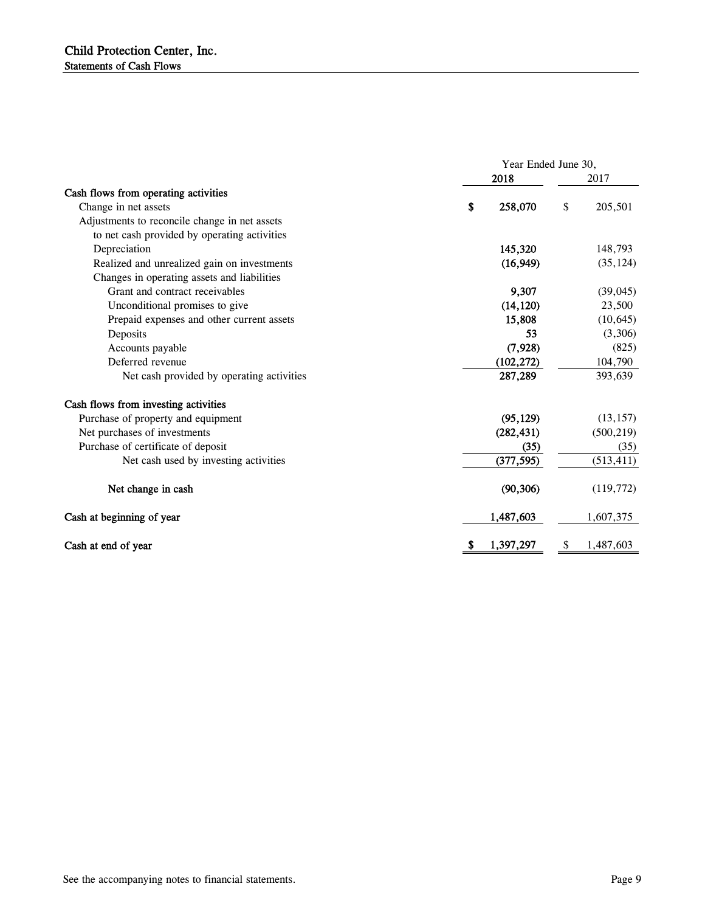|                                               | Year Ended June 30, |            |    |            |  |
|-----------------------------------------------|---------------------|------------|----|------------|--|
|                                               |                     | 2018       |    |            |  |
| Cash flows from operating activities          |                     |            |    |            |  |
| Change in net assets                          | \$                  | 258,070    | \$ | 205,501    |  |
| Adjustments to reconcile change in net assets |                     |            |    |            |  |
| to net cash provided by operating activities  |                     |            |    |            |  |
| Depreciation                                  |                     | 145,320    |    | 148,793    |  |
| Realized and unrealized gain on investments   |                     | (16, 949)  |    | (35, 124)  |  |
| Changes in operating assets and liabilities   |                     |            |    |            |  |
| Grant and contract receivables                |                     | 9,307      |    | (39,045)   |  |
| Unconditional promises to give                |                     | (14, 120)  |    | 23,500     |  |
| Prepaid expenses and other current assets     |                     | 15,808     |    | (10, 645)  |  |
| Deposits                                      |                     | 53         |    | (3,306)    |  |
| Accounts payable                              |                     | (7, 928)   |    | (825)      |  |
| Deferred revenue                              |                     | (102, 272) |    | 104,790    |  |
| Net cash provided by operating activities     |                     | 287,289    |    | 393,639    |  |
| Cash flows from investing activities          |                     |            |    |            |  |
| Purchase of property and equipment            |                     | (95, 129)  |    | (13, 157)  |  |
| Net purchases of investments                  |                     | (282, 431) |    | (500, 219) |  |
| Purchase of certificate of deposit            |                     | (35)       |    | (35)       |  |
| Net cash used by investing activities         |                     | (377, 595) |    | (513, 411) |  |
| Net change in cash                            |                     | (90, 306)  |    | (119,772)  |  |
| Cash at beginning of year                     |                     | 1,487,603  |    | 1,607,375  |  |
| Cash at end of year                           | S                   | 1,397,297  | \$ | 1,487,603  |  |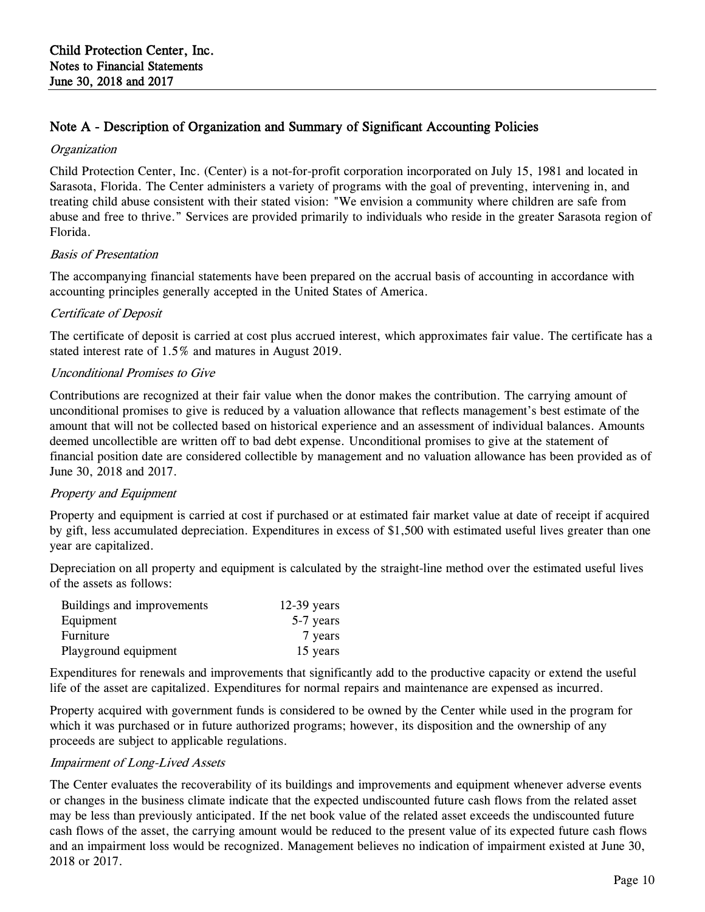## Note A - Description of Organization and Summary of Significant Accounting Policies

#### **Organization**

Child Protection Center, Inc. (Center) is a not-for-profit corporation incorporated on July 15, 1981 and located in Sarasota, Florida. The Center administers a variety of programs with the goal of preventing, intervening in, and treating child abuse consistent with their stated vision: "We envision a community where children are safe from abuse and free to thrive." Services are provided primarily to individuals who reside in the greater Sarasota region of Florida.

#### Basis of Presentation

The accompanying financial statements have been prepared on the accrual basis of accounting in accordance with accounting principles generally accepted in the United States of America.

#### Certificate of Deposit

The certificate of deposit is carried at cost plus accrued interest, which approximates fair value. The certificate has a stated interest rate of 1.5% and matures in August 2019.

#### Unconditional Promises to Give

Contributions are recognized at their fair value when the donor makes the contribution. The carrying amount of unconditional promises to give is reduced by a valuation allowance that reflects management's best estimate of the amount that will not be collected based on historical experience and an assessment of individual balances. Amounts deemed uncollectible are written off to bad debt expense. Unconditional promises to give at the statement of financial position date are considered collectible by management and no valuation allowance has been provided as of June 30, 2018 and 2017.

#### Property and Equipment

Property and equipment is carried at cost if purchased or at estimated fair market value at date of receipt if acquired by gift, less accumulated depreciation. Expenditures in excess of \$1,500 with estimated useful lives greater than one year are capitalized.

Depreciation on all property and equipment is calculated by the straight-line method over the estimated useful lives of the assets as follows:

| Buildings and improvements | $12-39$ years |
|----------------------------|---------------|
| Equipment                  | 5-7 years     |
| Furniture                  | 7 years       |
| Playground equipment       | 15 years      |

Expenditures for renewals and improvements that significantly add to the productive capacity or extend the useful life of the asset are capitalized. Expenditures for normal repairs and maintenance are expensed as incurred.

Property acquired with government funds is considered to be owned by the Center while used in the program for which it was purchased or in future authorized programs; however, its disposition and the ownership of any proceeds are subject to applicable regulations.

#### Impairment of Long-Lived Assets

The Center evaluates the recoverability of its buildings and improvements and equipment whenever adverse events or changes in the business climate indicate that the expected undiscounted future cash flows from the related asset may be less than previously anticipated. If the net book value of the related asset exceeds the undiscounted future cash flows of the asset, the carrying amount would be reduced to the present value of its expected future cash flows and an impairment loss would be recognized. Management believes no indication of impairment existed at June 30, 2018 or 2017.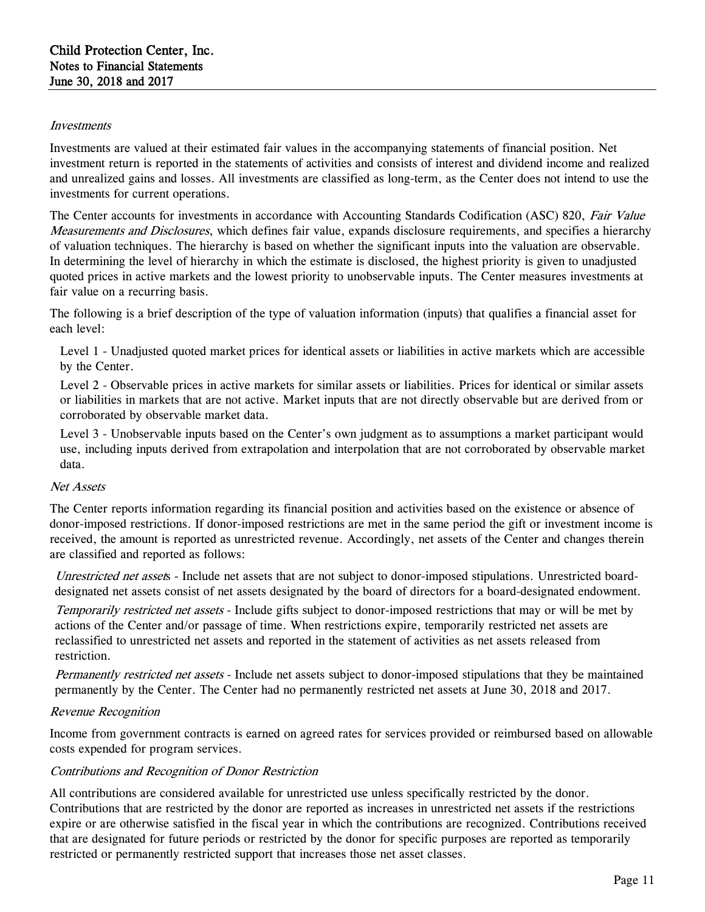#### Investments

Investments are valued at their estimated fair values in the accompanying statements of financial position. Net investment return is reported in the statements of activities and consists of interest and dividend income and realized and unrealized gains and losses. All investments are classified as long-term, as the Center does not intend to use the investments for current operations.

The Center accounts for investments in accordance with Accounting Standards Codification (ASC) 820, Fair Value Measurements and Disclosures, which defines fair value, expands disclosure requirements, and specifies a hierarchy of valuation techniques. The hierarchy is based on whether the significant inputs into the valuation are observable. In determining the level of hierarchy in which the estimate is disclosed, the highest priority is given to unadjusted quoted prices in active markets and the lowest priority to unobservable inputs. The Center measures investments at fair value on a recurring basis.

The following is a brief description of the type of valuation information (inputs) that qualifies a financial asset for each level:

Level 1 - Unadjusted quoted market prices for identical assets or liabilities in active markets which are accessible by the Center.

Level 2 - Observable prices in active markets for similar assets or liabilities. Prices for identical or similar assets or liabilities in markets that are not active. Market inputs that are not directly observable but are derived from or corroborated by observable market data.

Level 3 - Unobservable inputs based on the Center's own judgment as to assumptions a market participant would use, including inputs derived from extrapolation and interpolation that are not corroborated by observable market data.

#### Net Assets

The Center reports information regarding its financial position and activities based on the existence or absence of donor-imposed restrictions. If donor-imposed restrictions are met in the same period the gift or investment income is received, the amount is reported as unrestricted revenue. Accordingly, net assets of the Center and changes therein are classified and reported as follows:

Unrestricted net assets - Include net assets that are not subject to donor-imposed stipulations. Unrestricted boarddesignated net assets consist of net assets designated by the board of directors for a board-designated endowment.

Temporarily restricted net assets - Include gifts subject to donor-imposed restrictions that may or will be met by actions of the Center and/or passage of time. When restrictions expire, temporarily restricted net assets are reclassified to unrestricted net assets and reported in the statement of activities as net assets released from restriction.

Permanently restricted net assets - Include net assets subject to donor-imposed stipulations that they be maintained permanently by the Center. The Center had no permanently restricted net assets at June 30, 2018 and 2017.

#### Revenue Recognition

Income from government contracts is earned on agreed rates for services provided or reimbursed based on allowable costs expended for program services.

#### Contributions and Recognition of Donor Restriction

All contributions are considered available for unrestricted use unless specifically restricted by the donor. Contributions that are restricted by the donor are reported as increases in unrestricted net assets if the restrictions expire or are otherwise satisfied in the fiscal year in which the contributions are recognized. Contributions received that are designated for future periods or restricted by the donor for specific purposes are reported as temporarily restricted or permanently restricted support that increases those net asset classes.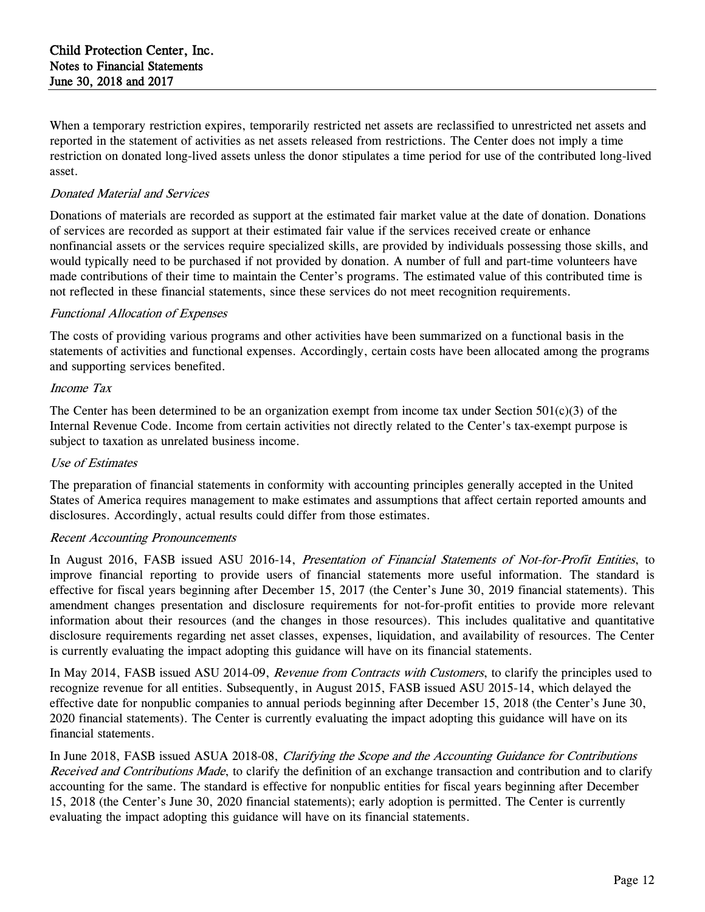When a temporary restriction expires, temporarily restricted net assets are reclassified to unrestricted net assets and reported in the statement of activities as net assets released from restrictions. The Center does not imply a time restriction on donated long-lived assets unless the donor stipulates a time period for use of the contributed long-lived asset.

#### Donated Material and Services

Donations of materials are recorded as support at the estimated fair market value at the date of donation. Donations of services are recorded as support at their estimated fair value if the services received create or enhance nonfinancial assets or the services require specialized skills, are provided by individuals possessing those skills, and would typically need to be purchased if not provided by donation. A number of full and part-time volunteers have made contributions of their time to maintain the Center's programs. The estimated value of this contributed time is not reflected in these financial statements, since these services do not meet recognition requirements.

#### Functional Allocation of Expenses

The costs of providing various programs and other activities have been summarized on a functional basis in the statements of activities and functional expenses. Accordingly, certain costs have been allocated among the programs and supporting services benefited.

#### Income Tax

The Center has been determined to be an organization exempt from income tax under Section  $501(c)(3)$  of the Internal Revenue Code. Income from certain activities not directly related to the Center's tax-exempt purpose is subject to taxation as unrelated business income.

#### Use of Estimates

The preparation of financial statements in conformity with accounting principles generally accepted in the United States of America requires management to make estimates and assumptions that affect certain reported amounts and disclosures. Accordingly, actual results could differ from those estimates.

#### Recent Accounting Pronouncements

In August 2016, FASB issued ASU 2016-14, Presentation of Financial Statements of Not-for-Profit Entities, to improve financial reporting to provide users of financial statements more useful information. The standard is effective for fiscal years beginning after December 15, 2017 (the Center's June 30, 2019 financial statements). This amendment changes presentation and disclosure requirements for not-for-profit entities to provide more relevant information about their resources (and the changes in those resources). This includes qualitative and quantitative disclosure requirements regarding net asset classes, expenses, liquidation, and availability of resources. The Center is currently evaluating the impact adopting this guidance will have on its financial statements.

In May 2014, FASB issued ASU 2014-09, *Revenue from Contracts with Customers*, to clarify the principles used to recognize revenue for all entities. Subsequently, in August 2015, FASB issued ASU 2015-14, which delayed the effective date for nonpublic companies to annual periods beginning after December 15, 2018 (the Center's June 30, 2020 financial statements). The Center is currently evaluating the impact adopting this guidance will have on its financial statements.

In June 2018, FASB issued ASUA 2018-08, Clarifying the Scope and the Accounting Guidance for Contributions Received and Contributions Made, to clarify the definition of an exchange transaction and contribution and to clarify accounting for the same. The standard is effective for nonpublic entities for fiscal years beginning after December 15, 2018 (the Center's June 30, 2020 financial statements); early adoption is permitted. The Center is currently evaluating the impact adopting this guidance will have on its financial statements.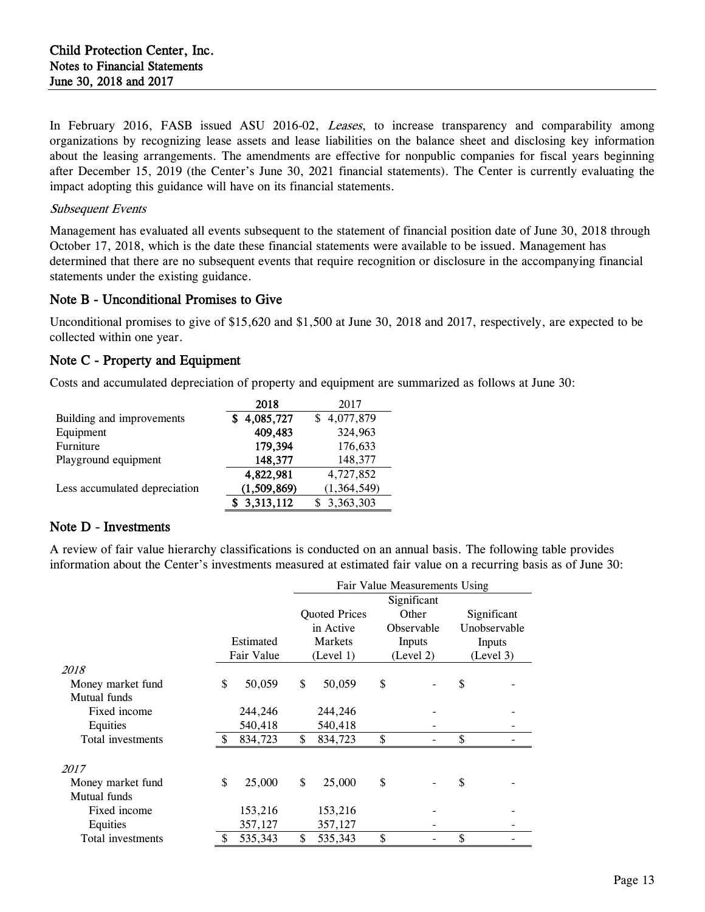In February 2016, FASB issued ASU 2016-02, Leases, to increase transparency and comparability among organizations by recognizing lease assets and lease liabilities on the balance sheet and disclosing key information about the leasing arrangements. The amendments are effective for nonpublic companies for fiscal years beginning after December 15, 2019 (the Center's June 30, 2021 financial statements). The Center is currently evaluating the impact adopting this guidance will have on its financial statements.

#### Subsequent Events

Management has evaluated all events subsequent to the statement of financial position date of June 30, 2018 through October 17, 2018, which is the date these financial statements were available to be issued. Management has determined that there are no subsequent events that require recognition or disclosure in the accompanying financial statements under the existing guidance.

#### Note B - Unconditional Promises to Give

Unconditional promises to give of \$15,620 and \$1,500 at June 30, 2018 and 2017, respectively, are expected to be collected within one year.

## Note C - Property and Equipment

Costs and accumulated depreciation of property and equipment are summarized as follows at June 30:

|                               | 2018        | 2017            |
|-------------------------------|-------------|-----------------|
| Building and improvements     | 4,085,727   | 4,077,879<br>S. |
| Equipment                     | 409,483     | 324,963         |
| Furniture                     | 179,394     | 176,633         |
| Playground equipment          | 148,377     | 148,377         |
|                               | 4,822,981   | 4,727,852       |
| Less accumulated depreciation | (1,509,869) | (1,364,549)     |
|                               | 3,313,112   | 3,363,303       |

### Note D - Investments

A review of fair value hierarchy classifications is conducted on an annual basis. The following table provides information about the Center's investments measured at estimated fair value on a recurring basis as of June 30:

|                   |     |            | Fair Value Measurements Using |                      |           |                   |             |              |  |
|-------------------|-----|------------|-------------------------------|----------------------|-----------|-------------------|-------------|--------------|--|
|                   |     |            | Significant                   |                      |           |                   |             |              |  |
|                   |     |            |                               | <b>Quoted Prices</b> |           | Other             | Significant |              |  |
|                   |     |            |                               | in Active            |           | <b>Observable</b> |             | Unobservable |  |
|                   |     | Estimated  |                               | Markets              |           | Inputs            |             | Inputs       |  |
|                   |     | Fair Value |                               | (Level 1)            | (Level 2) |                   |             | (Level 3)    |  |
| 2018              |     |            |                               |                      |           |                   |             |              |  |
| Money market fund | \$  | 50,059     | \$                            | 50,059               | \$        |                   | \$          |              |  |
| Mutual funds      |     |            |                               |                      |           |                   |             |              |  |
| Fixed income      |     | 244,246    |                               | 244,246              |           |                   |             |              |  |
| Equities          |     | 540,418    |                               | 540,418              |           |                   |             |              |  |
| Total investments | -\$ | 834,723    | \$                            | 834,723              | \$        |                   | \$          |              |  |
| 2017              |     |            |                               |                      |           |                   |             |              |  |
| Money market fund | \$  | 25,000     | \$                            | 25,000               | \$        |                   | \$          |              |  |
| Mutual funds      |     |            |                               |                      |           |                   |             |              |  |
| Fixed income      |     | 153,216    |                               | 153,216              |           |                   |             |              |  |
| Equities          |     | 357,127    |                               | 357,127              |           |                   |             |              |  |
| Total investments | \$  | 535,343    | \$                            | 535,343              | \$        |                   | \$          |              |  |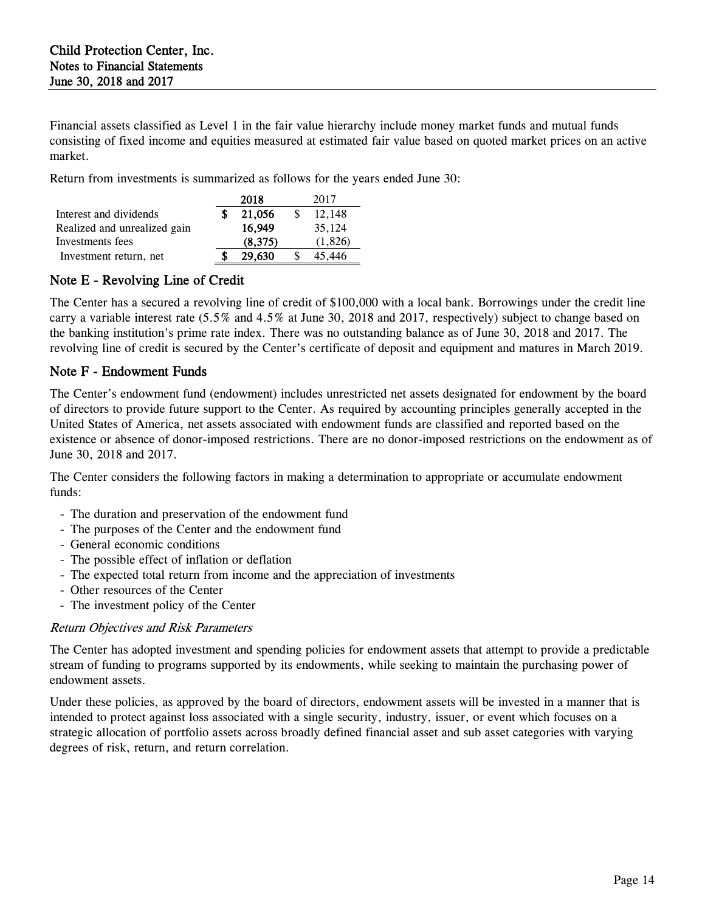Financial assets classified as Level 1 in the fair value hierarchy include money market funds and mutual funds consisting of fixed income and equities measured at estimated fair value based on quoted market prices on an active market.

Return from investments is summarized as follows for the years ended June 30:

|                              | 2018    | 2017    |
|------------------------------|---------|---------|
| Interest and dividends       | 21.056  | 12.148  |
| Realized and unrealized gain | 16.949  | 35,124  |
| Investments fees             | (8,375) | (1,826) |
| Investment return, net       | 29,630  | 45,446  |

## Note E - Revolving Line of Credit

The Center has a secured a revolving line of credit of \$100,000 with a local bank. Borrowings under the credit line carry a variable interest rate (5.5% and 4.5% at June 30, 2018 and 2017, respectively) subject to change based on the banking institution's prime rate index. There was no outstanding balance as of June 30, 2018 and 2017. The revolving line of credit is secured by the Center's certificate of deposit and equipment and matures in March 2019.

## Note F - Endowment Funds

The Center's endowment fund (endowment) includes unrestricted net assets designated for endowment by the board of directors to provide future support to the Center. As required by accounting principles generally accepted in the United States of America, net assets associated with endowment funds are classified and reported based on the existence or absence of donor-imposed restrictions. There are no donor-imposed restrictions on the endowment as of June 30, 2018 and 2017.

The Center considers the following factors in making a determination to appropriate or accumulate endowment funds:

- The duration and preservation of the endowment fund
- The purposes of the Center and the endowment fund
- General economic conditions
- The possible effect of inflation or deflation
- The expected total return from income and the appreciation of investments
- Other resources of the Center
- The investment policy of the Center

### Return Objectives and Risk Parameters

The Center has adopted investment and spending policies for endowment assets that attempt to provide a predictable stream of funding to programs supported by its endowments, while seeking to maintain the purchasing power of endowment assets.

Under these policies, as approved by the board of directors, endowment assets will be invested in a manner that is intended to protect against loss associated with a single security, industry, issuer, or event which focuses on a strategic allocation of portfolio assets across broadly defined financial asset and sub asset categories with varying degrees of risk, return, and return correlation.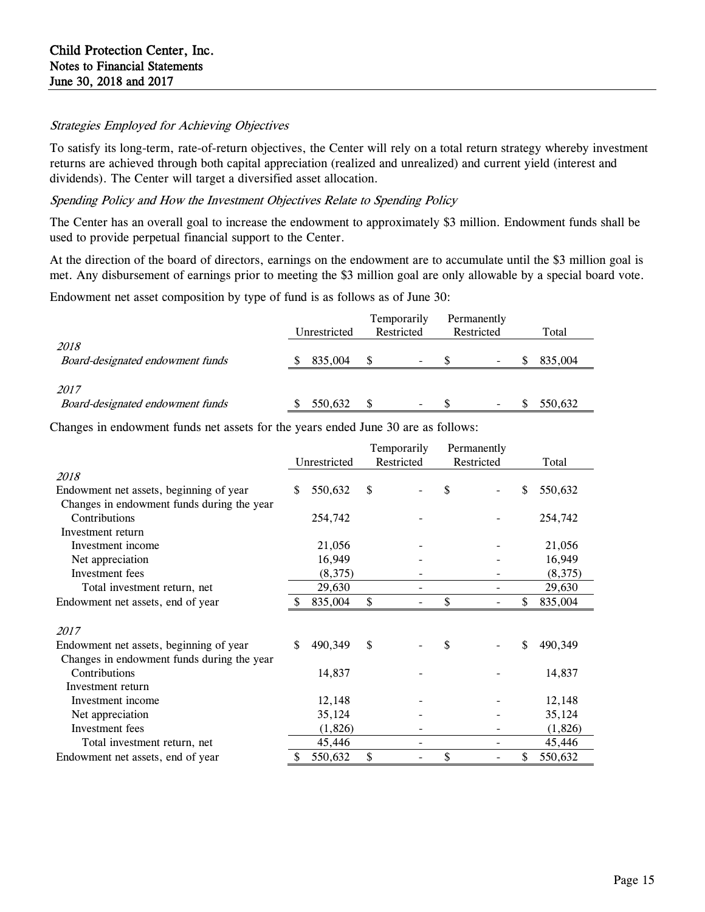#### Strategies Employed for Achieving Objectives

To satisfy its long-term, rate-of-return objectives, the Center will rely on a total return strategy whereby investment returns are achieved through both capital appreciation (realized and unrealized) and current yield (interest and dividends). The Center will target a diversified asset allocation.

#### Spending Policy and How the Investment Objectives Relate to Spending Policy

The Center has an overall goal to increase the endowment to approximately \$3 million. Endowment funds shall be used to provide perpetual financial support to the Center.

At the direction of the board of directors, earnings on the endowment are to accumulate until the \$3 million goal is met. Any disbursement of earnings prior to meeting the \$3 million goal are only allowable by a special board vote.

Endowment net asset composition by type of fund is as follows as of June 30:

|                                          | Unrestricted |         | Temporarily<br>Restricted |                          | Permanently<br>Restricted |                          | Total |         |
|------------------------------------------|--------------|---------|---------------------------|--------------------------|---------------------------|--------------------------|-------|---------|
| 2018<br>Board-designated endowment funds |              | 835,004 |                           | $\overline{\phantom{0}}$ |                           | $\overline{\phantom{0}}$ |       | 835,004 |
| 2017<br>Board-designated endowment funds |              | 550,632 | -S                        | $\overline{\phantom{0}}$ |                           | $\overline{\phantom{a}}$ |       | 550,632 |

Changes in endowment funds net assets for the years ended June 30 are as follows:

|                                                                                       |              |         | Temporarily<br>Restricted |  | Permanently<br>Restricted |  | Total |         |
|---------------------------------------------------------------------------------------|--------------|---------|---------------------------|--|---------------------------|--|-------|---------|
|                                                                                       | Unrestricted |         |                           |  |                           |  |       |         |
| 2018                                                                                  |              |         |                           |  |                           |  |       |         |
| Endowment net assets, beginning of year                                               | \$           | 550,632 | \$                        |  | \$                        |  | \$    | 550,632 |
| Changes in endowment funds during the year                                            |              |         |                           |  |                           |  |       |         |
| Contributions                                                                         |              | 254,742 |                           |  |                           |  |       | 254,742 |
| Investment return                                                                     |              |         |                           |  |                           |  |       |         |
| Investment income                                                                     |              | 21,056  |                           |  |                           |  |       | 21,056  |
| Net appreciation                                                                      |              | 16,949  |                           |  |                           |  |       | 16,949  |
| Investment fees                                                                       |              | (8,375) |                           |  |                           |  |       | (8,375) |
| Total investment return, net                                                          |              | 29,630  |                           |  |                           |  |       | 29,630  |
| Endowment net assets, end of year                                                     |              | 835,004 | \$                        |  | \$                        |  | \$    | 835,004 |
| 2017                                                                                  |              |         |                           |  |                           |  |       |         |
|                                                                                       | \$           | 490,349 | \$                        |  | \$                        |  | \$    | 490,349 |
| Endowment net assets, beginning of year<br>Changes in endowment funds during the year |              |         |                           |  |                           |  |       |         |
| Contributions                                                                         |              | 14,837  |                           |  |                           |  |       | 14,837  |
| Investment return                                                                     |              |         |                           |  |                           |  |       |         |
| Investment income                                                                     |              | 12,148  |                           |  |                           |  |       | 12,148  |
| Net appreciation                                                                      |              | 35,124  |                           |  |                           |  |       | 35,124  |
| Investment fees                                                                       |              | (1,826) |                           |  |                           |  |       | (1,826) |
| Total investment return, net                                                          |              | 45,446  |                           |  |                           |  |       | 45,446  |
| Endowment net assets, end of year                                                     |              | 550,632 | \$                        |  | \$                        |  | S     | 550,632 |